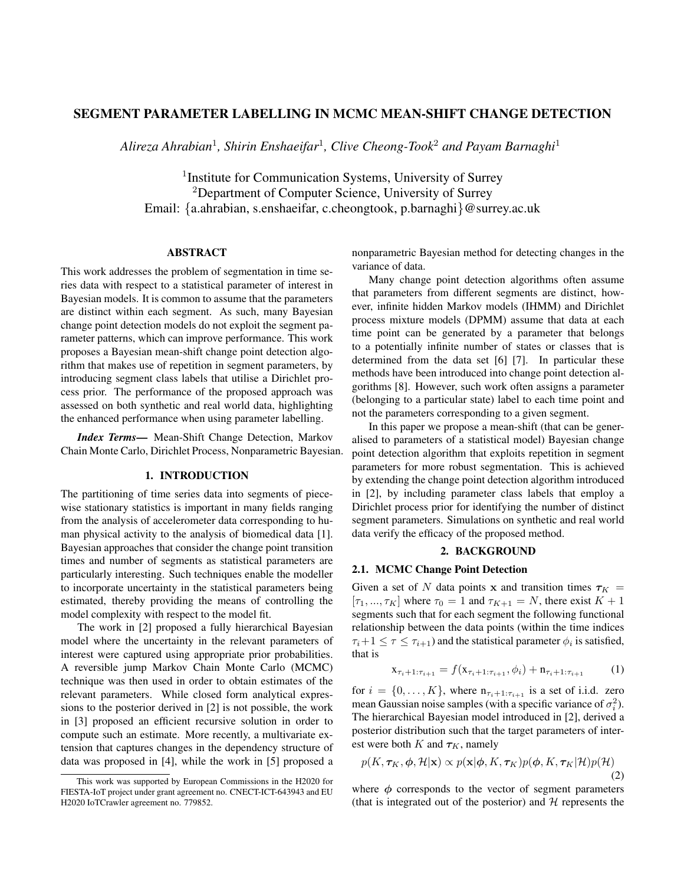# SEGMENT PARAMETER LABELLING IN MCMC MEAN-SHIFT CHANGE DETECTION

*Alireza Ahrabian*<sup>1</sup> *, Shirin Enshaeifar*<sup>1</sup> *, Clive Cheong-Took*<sup>2</sup> *and Payam Barnaghi*<sup>1</sup>

<sup>1</sup> Institute for Communication Systems, University of Surrey <sup>2</sup>Department of Computer Science, University of Surrey Email: {a.ahrabian, s.enshaeifar, c.cheongtook, p.barnaghi}@surrey.ac.uk

# ABSTRACT

This work addresses the problem of segmentation in time series data with respect to a statistical parameter of interest in Bayesian models. It is common to assume that the parameters are distinct within each segment. As such, many Bayesian change point detection models do not exploit the segment parameter patterns, which can improve performance. This work proposes a Bayesian mean-shift change point detection algorithm that makes use of repetition in segment parameters, by introducing segment class labels that utilise a Dirichlet process prior. The performance of the proposed approach was assessed on both synthetic and real world data, highlighting the enhanced performance when using parameter labelling.

*Index Terms*— Mean-Shift Change Detection, Markov Chain Monte Carlo, Dirichlet Process, Nonparametric Bayesian.

## 1. INTRODUCTION

The partitioning of time series data into segments of piecewise stationary statistics is important in many fields ranging from the analysis of accelerometer data corresponding to human physical activity to the analysis of biomedical data [1]. Bayesian approaches that consider the change point transition times and number of segments as statistical parameters are particularly interesting. Such techniques enable the modeller to incorporate uncertainty in the statistical parameters being estimated, thereby providing the means of controlling the model complexity with respect to the model fit.

The work in [2] proposed a fully hierarchical Bayesian model where the uncertainty in the relevant parameters of interest were captured using appropriate prior probabilities. A reversible jump Markov Chain Monte Carlo (MCMC) technique was then used in order to obtain estimates of the relevant parameters. While closed form analytical expressions to the posterior derived in [2] is not possible, the work in [3] proposed an efficient recursive solution in order to compute such an estimate. More recently, a multivariate extension that captures changes in the dependency structure of data was proposed in [4], while the work in [5] proposed a nonparametric Bayesian method for detecting changes in the variance of data.

Many change point detection algorithms often assume that parameters from different segments are distinct, however, infinite hidden Markov models (IHMM) and Dirichlet process mixture models (DPMM) assume that data at each time point can be generated by a parameter that belongs to a potentially infinite number of states or classes that is determined from the data set [6] [7]. In particular these methods have been introduced into change point detection algorithms [8]. However, such work often assigns a parameter (belonging to a particular state) label to each time point and not the parameters corresponding to a given segment.

In this paper we propose a mean-shift (that can be generalised to parameters of a statistical model) Bayesian change point detection algorithm that exploits repetition in segment parameters for more robust segmentation. This is achieved by extending the change point detection algorithm introduced in [2], by including parameter class labels that employ a Dirichlet process prior for identifying the number of distinct segment parameters. Simulations on synthetic and real world data verify the efficacy of the proposed method.

#### 2. BACKGROUND

## 2.1. MCMC Change Point Detection

Given a set of N data points x and transition times  $\tau_K$  =  $[\tau_1, ..., \tau_K]$  where  $\tau_0 = 1$  and  $\tau_{K+1} = N$ , there exist  $K + 1$ segments such that for each segment the following functional relationship between the data points (within the time indices  $\tau_i+1 \leq \tau \leq \tau_{i+1}$ ) and the statistical parameter  $\phi_i$  is satisfied, that is

$$
\mathbf{x}_{\tau_i+1:\tau_{i+1}} = f(\mathbf{x}_{\tau_i+1:\tau_{i+1}}, \phi_i) + \mathbf{n}_{\tau_i+1:\tau_{i+1}} \tag{1}
$$

for  $i = \{0, \ldots, K\}$ , where  $n_{\tau_i+1:\tau_{i+1}}$  is a set of i.i.d. zero mean Gaussian noise samples (with a specific variance of  $\sigma_i^2$ ). The hierarchical Bayesian model introduced in [2], derived a posterior distribution such that the target parameters of interest were both  $K$  and  $\tau_K$ , namely

$$
p(K, \tau_K, \phi, \mathcal{H}|\mathbf{x}) \propto p(\mathbf{x}|\phi, K, \tau_K) p(\phi, K, \tau_K|\mathcal{H}) p(\mathcal{H})
$$
\n(2)

where  $\phi$  corresponds to the vector of segment parameters (that is integrated out of the posterior) and  $H$  represents the

This work was supported by European Commissions in the H2020 for FIESTA-IoT project under grant agreement no. CNECT-ICT-643943 and EU H2020 IoTCrawler agreement no. 779852.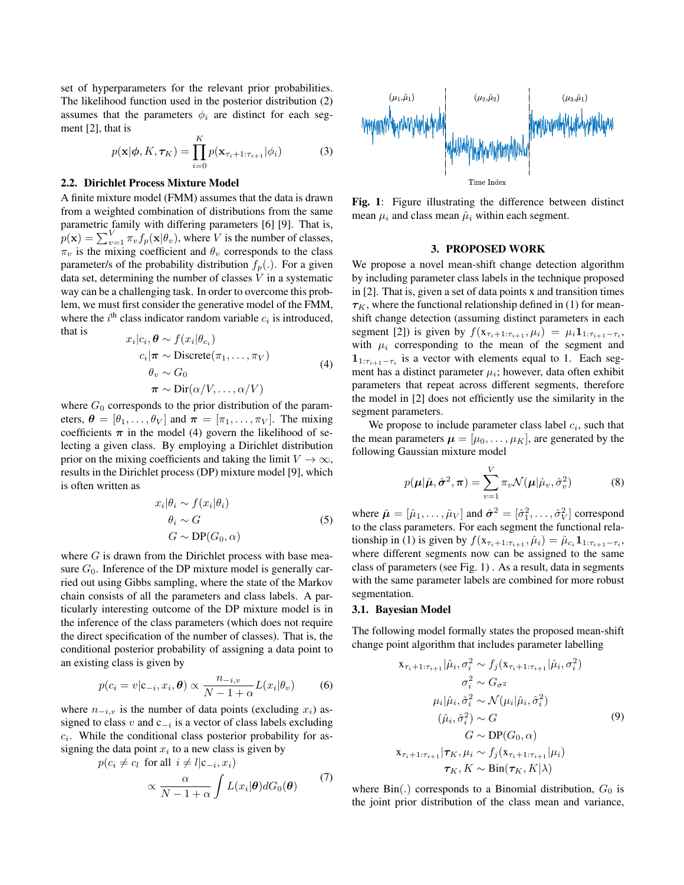set of hyperparameters for the relevant prior probabilities. The likelihood function used in the posterior distribution (2) assumes that the parameters  $\phi_i$  are distinct for each segment [2], that is

$$
p(\mathbf{x}|\boldsymbol{\phi}, K, \boldsymbol{\tau}_K) = \prod_{i=0}^{K} p(\mathbf{x}_{\tau_i+1:\tau_{i+1}}|\phi_i)
$$
(3)

# 2.2. Dirichlet Process Mixture Model

A finite mixture model (FMM) assumes that the data is drawn from a weighted combination of distributions from the same parametric family with differing parameters [6] [9]. That is,  $p(\mathbf{x}) = \sum_{v=1}^{V} \pi_v f_p(\mathbf{x}|\theta_v)$ , where V is the number of classes,  $\pi_v$  is the mixing coefficient and  $\theta_v$  corresponds to the class parameter/s of the probability distribution  $f_p(.)$ . For a given data set, determining the number of classes  $V$  in a systematic way can be a challenging task. In order to overcome this problem, we must first consider the generative model of the FMM, where the  $i^{\text{th}}$  class indicator random variable  $c_i$  is introduced, that is

$$
x_i|c_i, \theta \sim f(x_i|\theta_{c_i})
$$
  
\n
$$
c_i|\pi \sim \text{Discrete}(\pi_1, ..., \pi_V)
$$
  
\n
$$
\theta_v \sim G_0
$$
  
\n
$$
\pi \sim \text{Dir}(\alpha/V, ..., \alpha/V)
$$
 (4)

where  $G_0$  corresponds to the prior distribution of the parameters,  $\theta = [\theta_1, \dots, \theta_V]$  and  $\pi = [\pi_1, \dots, \pi_V]$ . The mixing coefficients  $\pi$  in the model (4) govern the likelihood of selecting a given class. By employing a Dirichlet distribution prior on the mixing coefficients and taking the limit  $V \to \infty$ , results in the Dirichlet process (DP) mixture model [9], which is often written as

$$
x_i|\theta_i \sim f(x_i|\theta_i)
$$
  
\n
$$
\theta_i \sim G
$$
  
\n
$$
G \sim \text{DP}(G_0, \alpha)
$$
 (5)

where  $G$  is drawn from the Dirichlet process with base measure  $G_0$ . Inference of the DP mixture model is generally carried out using Gibbs sampling, where the state of the Markov chain consists of all the parameters and class labels. A particularly interesting outcome of the DP mixture model is in the inference of the class parameters (which does not require the direct specification of the number of classes). That is, the conditional posterior probability of assigning a data point to an existing class is given by

$$
p(c_i = v | \mathbf{c}_{-i}, x_i, \boldsymbol{\theta}) \propto \frac{n_{-i,v}}{N - 1 + \alpha} L(x_i | \theta_v)
$$
 (6)

where  $n_{-i,v}$  is the number of data points (excluding  $x_i$ ) assigned to class v and  $c_{-i}$  is a vector of class labels excluding  $c_i$ . While the conditional class posterior probability for assigning the data point  $x_i$  to a new class is given by

$$
p(c_i \neq c_l \text{ for all } i \neq l | c_{-i}, x_i)
$$

$$
\propto \frac{\alpha}{N - 1 + \alpha} \int L(x_i | \boldsymbol{\theta}) dG_0(\boldsymbol{\theta}) \tag{7}
$$



Fig. 1: Figure illustrating the difference between distinct mean  $\mu_i$  and class mean  $\hat{\mu}_i$  within each segment.

### 3. PROPOSED WORK

We propose a novel mean-shift change detection algorithm by including parameter class labels in the technique proposed in [2]. That is, given a set of data points x and transition times  $\tau_K$ , where the functional relationship defined in (1) for meanshift change detection (assuming distinct parameters in each segment [2]) is given by  $f(\mathbf{x}_{\tau_i+1:\tau_{i+1}}, \mu_i) = \mu_i \mathbf{1}_{1:\tau_{i+1}-\tau_i}$ , with  $\mu_i$  corresponding to the mean of the segment and  $1_{1:\tau_{i+1}-\tau_i}$  is a vector with elements equal to 1. Each segment has a distinct parameter  $\mu_i$ ; however, data often exhibit parameters that repeat across different segments, therefore the model in [2] does not efficiently use the similarity in the segment parameters.

We propose to include parameter class label  $c_i$ , such that the mean parameters  $\mu = [\mu_0, \dots, \mu_K]$ , are generated by the following Gaussian mixture model

$$
p(\boldsymbol{\mu}|\hat{\boldsymbol{\mu}}, \hat{\boldsymbol{\sigma}}^2, \boldsymbol{\pi}) = \sum_{v=1}^{V} \pi_v \mathcal{N}(\boldsymbol{\mu}|\hat{\mu}_v, \hat{\sigma}_v^2)
$$
(8)

where  $\hat{\boldsymbol{\mu}} = [\hat{\mu}_1, \dots, \hat{\mu}_V]$  and  $\hat{\boldsymbol{\sigma}}^2 = [\hat{\sigma}_1^2, \dots, \hat{\sigma}_V^2]$  correspond to the class parameters. For each segment the functional relationship in (1) is given by  $f(\mathbf{x}_{\tau_i+1:\tau_{i+1}}, \hat{\mu}_i) = \hat{\mu}_{c_i} \mathbf{1}_{1:\tau_{i+1}-\tau_i}$ , where different segments now can be assigned to the same class of parameters (see Fig. 1) . As a result, data in segments with the same parameter labels are combined for more robust segmentation.

#### 3.1. Bayesian Model

The following model formally states the proposed mean-shift change point algorithm that includes parameter labelling

$$
\mathbf{x}_{\tau_i+1:\tau_{i+1}}|\hat{\mu}_i, \sigma_i^2 \sim f_j(\mathbf{x}_{\tau_i+1:\tau_{i+1}}|\hat{\mu}_i, \sigma_i^2)
$$

$$
\sigma_i^2 \sim G_{\sigma^2}
$$

$$
\mu_i|\hat{\mu}_i, \hat{\sigma}_i^2 \sim \mathcal{N}(\mu_i|\hat{\mu}_i, \hat{\sigma}_i^2)
$$

$$
(\hat{\mu}_i, \hat{\sigma}_i^2) \sim G
$$
(9)
$$
G \sim \text{DP}(G_0, \alpha)
$$

$$
\mathbf{x}_{\tau_i+1:\tau_{i+1}}|\boldsymbol{\tau}_K, \mu_i \sim f_j(\mathbf{x}_{\tau_i+1:\tau_{i+1}}|\mu_i)
$$

$$
\boldsymbol{\tau}_K, K \sim \text{Bin}(\boldsymbol{\tau}_K, K|\lambda)
$$

where  $\text{Bin}(.)$  corresponds to a Binomial distribution,  $G_0$  is the joint prior distribution of the class mean and variance,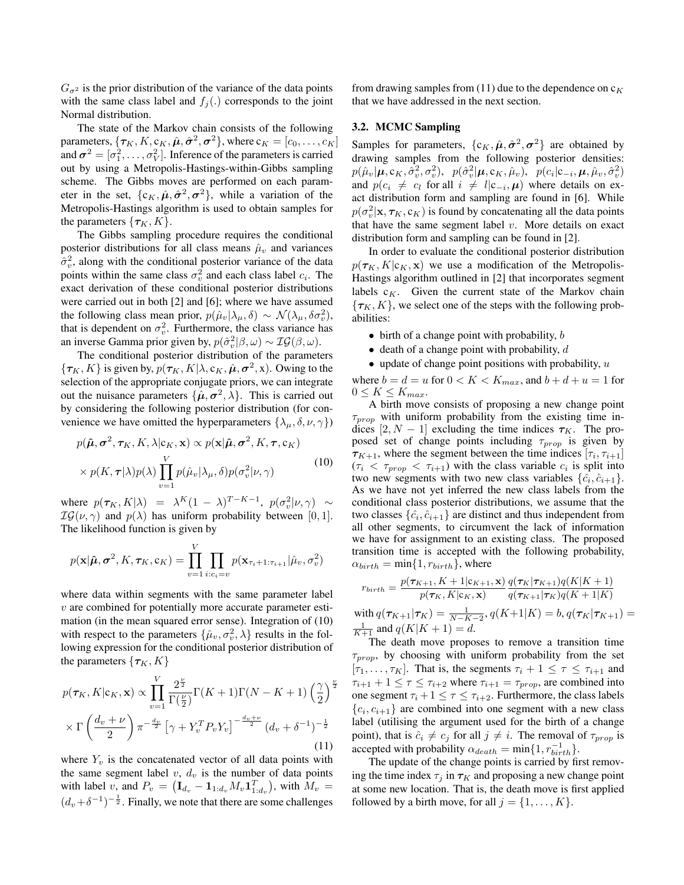$G_{\sigma^2}$  is the prior distribution of the variance of the data points with the same class label and  $f_j(.)$  corresponds to the joint Normal distribution.

The state of the Markov chain consists of the following parameters,  $\{ \bm{\tau}_K, K, \bm{\mathsf{c}}_K, \hat{\bm{\mu}}, \hat{\bm{\sigma}}^2, \bm{\sigma}^2 \},$  where  $\bm{\mathsf{c}}_K = [c_0, \dots, c_K]$ and  $\boldsymbol{\sigma}^2 = [\sigma_1^2, \dots, \sigma_V^2]$ . Inference of the parameters is carried out by using a Metropolis-Hastings-within-Gibbs sampling scheme. The Gibbs moves are performed on each parameter in the set,  $\{c_K, \hat{\boldsymbol{\mu}}, \hat{\boldsymbol{\sigma}}^2, \sigma^2\}$ , while a variation of the Metropolis-Hastings algorithm is used to obtain samples for the parameters  $\{\tau_K, K\}.$ 

The Gibbs sampling procedure requires the conditional posterior distributions for all class means  $\hat{\mu}_v$  and variances  $\hat{\sigma}_v^2$ , along with the conditional posterior variance of the data points within the same class  $\sigma_v^2$  and each class label  $c_i$ . The exact derivation of these conditional posterior distributions were carried out in both [2] and [6]; where we have assumed the following class mean prior,  $p(\hat{\mu}_v | \lambda_\mu, \delta) \sim \mathcal{N}(\lambda_\mu, \delta \sigma_v^2)$ , that is dependent on  $\sigma_v^2$ . Furthermore, the class variance has an inverse Gamma prior given by,  $p(\hat{\sigma}_v^2 | \beta, \omega) \sim \mathcal{IG}(\beta, \omega)$ .

The conditional posterior distribution of the parameters  $\{\tau_K, K\}$  is given by,  $p(\tau_K, K | \lambda, c_K, \hat{\boldsymbol{\mu}}, \sigma^2, x)$ . Owing to the selection of the appropriate conjugate priors, we can integrate out the nuisance parameters  $\{\hat{\mu}, \sigma^2, \lambda\}$ . This is carried out by considering the following posterior distribution (for convenience we have omitted the hyperparameters  $\{\lambda_{\mu}, \delta, \nu, \gamma\}$ )

$$
p(\hat{\boldsymbol{\mu}}, \sigma^2, \tau_K, K, \lambda | c_K, \mathbf{x}) \propto p(\mathbf{x} | \hat{\boldsymbol{\mu}}, \sigma^2, K, \tau, c_K)
$$
  
 
$$
\times p(K, \tau | \lambda) p(\lambda) \prod_{v=1}^{V} p(\hat{\mu}_v | \lambda_\mu, \delta) p(\sigma_v^2 | \nu, \gamma)
$$
 (10)

where  $p(\tau_K, K | \lambda) = \lambda^K (1 - \lambda)^{T - K - 1}$ ,  $p(\sigma_v^2 | \nu, \gamma) \sim$  $IG(\nu, \gamma)$  and  $p(\lambda)$  has uniform probability between [0, 1]. The likelihood function is given by

$$
p(\mathbf{x}|\hat{\boldsymbol{\mu}}, \boldsymbol{\sigma}^2, K, \boldsymbol{\tau}_K, \mathbf{c}_K) = \prod_{v=1}^V \prod_{i:c_i=v} p(\mathbf{x}_{\tau_i+1:\tau_{i+1}}|\hat{\mu}_v, \sigma_v^2)
$$

where data within segments with the same parameter label  $v$  are combined for potentially more accurate parameter estimation (in the mean squared error sense). Integration of (10) with respect to the parameters  $\{\hat{\mu}_v, \sigma_v^2, \lambda\}$  results in the following expression for the conditional posterior distribution of the parameters  $\{\tau_K, K\}$ 

$$
p(\boldsymbol{\tau}_K, K | \mathbf{c}_K, \mathbf{x}) \propto \prod_{v=1}^V \frac{2^{\frac{\nu}{2}}}{\Gamma(\frac{\nu}{2})} \Gamma(K+1) \Gamma(N-K+1) \left(\frac{\gamma}{2}\right)^{\frac{\nu}{2}}
$$

$$
\times \Gamma\left(\frac{d_v + \nu}{2}\right) \pi^{-\frac{d_v}{2}} \left[\gamma + Y_v^T P_v Y_v\right]^{-\frac{d_v + \nu}{2}} (d_v + \delta^{-1})^{-\frac{1}{2}}
$$
(11)

where  $Y_v$  is the concatenated vector of all data points with the same segment label  $v$ ,  $d_v$  is the number of data points with label v, and  $P_v = (\mathbf{I}_{d_v} - \mathbf{1}_{1:d_v} M_v \mathbf{1}_{1:d_v}^T)$ , with  $M_v =$  $(d_v + \delta^{-1})^{-\frac{1}{2}}$ . Finally, we note that there are some challenges from drawing samples from (11) due to the dependence on  $c_K$ that we have addressed in the next section.

# 3.2. MCMC Sampling

Samples for parameters,  $\{c_K, \hat{\boldsymbol{\mu}}, \hat{\boldsymbol{\sigma}}^2, \sigma^2\}$  are obtained by drawing samples from the following posterior densities:  $p(\hat{\mu}_v|\boldsymbol{\mu}, \mathbf{c}_K, \hat{\sigma}_v^2, \sigma_v^2), \;\; p(\hat{\sigma}_v^2|\boldsymbol{\mu}, \mathbf{c}_K, \hat{\mu}_v), \;\; p(c_i|\mathbf{c}_{-i}, \boldsymbol{\mu}, \hat{\mu}_v, \hat{\sigma}_v^2)$ and  $p(c_i \neq c_l \text{ for all } i \neq l|c_{-i}, \mu)$  where details on exact distribution form and sampling are found in [6]. While  $p(\sigma_v^2 | \mathbf{x}, \tau_K, \mathbf{c}_K)$  is found by concatenating all the data points that have the same segment label  $v$ . More details on exact distribution form and sampling can be found in [2].

In order to evaluate the conditional posterior distribution  $p(\tau_K, K | c_K, x)$  we use a modification of the Metropolis-Hastings algorithm outlined in [2] that incorporates segment labels  $c_K$ . Given the current state of the Markov chain  ${\tau_{K}, K}$ , we select one of the steps with the following probabilities:

- birth of a change point with probability,  $\mathbf{b}$
- $\bullet$  death of a change point with probability,  $d$
- update of change point positions with probability,  $u$

where  $b = d = u$  for  $0 < K < K_{max}$ , and  $b + d + u = 1$  for  $0 \leq K \leq K_{max}$ .

A birth move consists of proposing a new change point  $\tau_{prop}$  with uniform probability from the existing time indices  $[2, N - 1]$  excluding the time indices  $\tau_K$ . The proposed set of change points including  $\tau_{prop}$  is given by  $\tau_{K+1}$ , where the segment between the time indices  $[\tau_i, \tau_{i+1}]$  $(\tau_i < \tau_{prop} < \tau_{i+1})$  with the class variable  $c_i$  is split into two new segments with two new class variables  $\{\hat{c}_i, \hat{c}_{i+1}\}.$ As we have not yet inferred the new class labels from the conditional class posterior distributions, we assume that the two classes  $\{\hat{c}_i, \hat{c}_{i+1}\}$  are distinct and thus independent from all other segments, to circumvent the lack of information we have for assignment to an existing class. The proposed transition time is accepted with the following probability,  $\alpha_{birth} = \min\{1, r_{birth}\}$ , where

$$
r_{birth} = \frac{p(\boldsymbol{\tau}_{K+1}, K+1 | \mathbf{c}_{K+1}, \mathbf{x})}{p(\boldsymbol{\tau}_{K}, K | \mathbf{c}_{K}, \mathbf{x})} \frac{q(\boldsymbol{\tau}_{K} | \boldsymbol{\tau}_{K+1}) q(K | K+1)}{q(\boldsymbol{\tau}_{K+1} | \boldsymbol{\tau}_{K}) q(K+1 | K)}
$$
  
with  $p(\boldsymbol{\tau}_{K+1} | \boldsymbol{\tau}_{K+1} | K) = 1 - p(K+1 | K) = 1 - p(K+1 | K)$ .

with  $q(\tau_{K+1}|\tau_K) = \frac{1}{N-K-2}$ ,  $q(K+1|K) = b$ ,  $q(\tau_K|\tau_{K+1}) =$  $\frac{1}{K+1}$  and  $q(K|K+1) = d$ .

The death move proposes to remove a transition time  $\tau_{prop}$ , by choosing with uniform probability from the set  $[\tau_1, \ldots, \tau_K]$ . That is, the segments  $\tau_i + 1 \leq \tau \leq \tau_{i+1}$  and  $\tau_{i+1} + 1 \leq \tau \leq \tau_{i+2}$  where  $\tau_{i+1} = \tau_{prop}$ , are combined into one segment  $\tau_i + 1 \leq \tau \leq \tau_{i+2}$ . Furthermore, the class labels  $\{c_i, c_{i+1}\}\$ are combined into one segment with a new class label (utilising the argument used for the birth of a change point), that is  $\hat{c}_i \neq c_j$  for all  $j \neq i$ . The removal of  $\tau_{prop}$  is accepted with probability  $\alpha_{death} = \min\{1, r_{birth}^{-1}\}.$ 

The update of the change points is carried by first removing the time index  $\tau_i$  in  $\tau_K$  and proposing a new change point at some new location. That is, the death move is first applied followed by a birth move, for all  $j = \{1, \ldots, K\}.$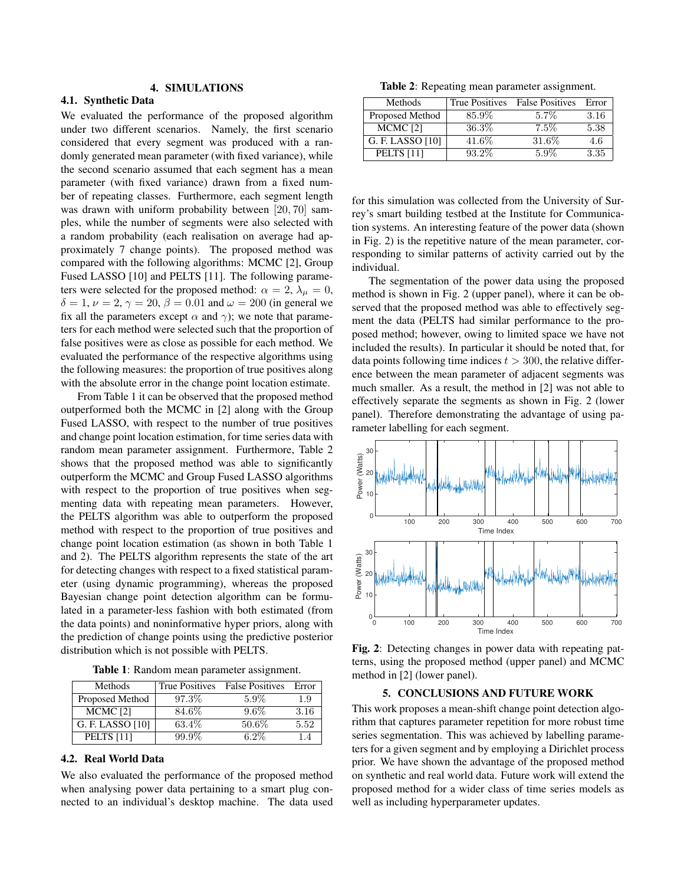# 4. SIMULATIONS

# 4.1. Synthetic Data

We evaluated the performance of the proposed algorithm under two different scenarios. Namely, the first scenario considered that every segment was produced with a randomly generated mean parameter (with fixed variance), while the second scenario assumed that each segment has a mean parameter (with fixed variance) drawn from a fixed number of repeating classes. Furthermore, each segment length was drawn with uniform probability between [20, 70] samples, while the number of segments were also selected with a random probability (each realisation on average had approximately 7 change points). The proposed method was compared with the following algorithms: MCMC [2], Group Fused LASSO [10] and PELTS [11]. The following parameters were selected for the proposed method:  $\alpha = 2$ ,  $\lambda_{\mu} = 0$ ,  $\delta = 1, \nu = 2, \gamma = 20, \beta = 0.01$  and  $\omega = 200$  (in general we fix all the parameters except  $\alpha$  and  $\gamma$ ); we note that parameters for each method were selected such that the proportion of false positives were as close as possible for each method. We evaluated the performance of the respective algorithms using the following measures: the proportion of true positives along with the absolute error in the change point location estimate.

From Table 1 it can be observed that the proposed method outperformed both the MCMC in [2] along with the Group Fused LASSO, with respect to the number of true positives and change point location estimation, for time series data with random mean parameter assignment. Furthermore, Table 2 shows that the proposed method was able to significantly outperform the MCMC and Group Fused LASSO algorithms with respect to the proportion of true positives when segmenting data with repeating mean parameters. However, the PELTS algorithm was able to outperform the proposed method with respect to the proportion of true positives and change point location estimation (as shown in both Table 1 and 2). The PELTS algorithm represents the state of the art for detecting changes with respect to a fixed statistical parameter (using dynamic programming), whereas the proposed Bayesian change point detection algorithm can be formulated in a parameter-less fashion with both estimated (from the data points) and noninformative hyper priors, along with the prediction of change points using the predictive posterior distribution which is not possible with PELTS.

Table 1: Random mean parameter assignment.

| Methods             | <b>True Positives</b> | <b>False Positives</b> | Error |
|---------------------|-----------------------|------------------------|-------|
| Proposed Method     | 97.3%                 | $5.9\%$                | 1.9   |
| MCMC <sub>[2]</sub> | 84.6%                 | $9.6\%$                | 3.16  |
| G. F. LASSO [10]    | 63.4%                 | 50.6%                  | 5.52  |
| <b>PELTS</b> [11]   | $99.9\%$              | $6.2\%$                | 1.4   |

## 4.2. Real World Data

We also evaluated the performance of the proposed method when analysing power data pertaining to a smart plug connected to an individual's desktop machine. The data used

Table 2: Repeating mean parameter assignment.

| Methods           | <b>True Positives</b> | <b>False Positives</b> | Error |
|-------------------|-----------------------|------------------------|-------|
| Proposed Method   | 85.9%                 | $5.7\%$                | 3.16  |
| $MCMC$ [2]        | 36.3%                 | $7.5\%$                | 5.38  |
| G. F. LASSO [10]  | 41.6%                 | 31.6%                  | 4.6   |
| <b>PELTS [11]</b> | 93.2%                 | $5.9\%$                | 3.35  |

for this simulation was collected from the University of Surrey's smart building testbed at the Institute for Communication systems. An interesting feature of the power data (shown in Fig. 2) is the repetitive nature of the mean parameter, corresponding to similar patterns of activity carried out by the individual.

The segmentation of the power data using the proposed method is shown in Fig. 2 (upper panel), where it can be observed that the proposed method was able to effectively segment the data (PELTS had similar performance to the proposed method; however, owing to limited space we have not included the results). In particular it should be noted that, for data points following time indices  $t > 300$ , the relative difference between the mean parameter of adjacent segments was much smaller. As a result, the method in [2] was not able to effectively separate the segments as shown in Fig. 2 (lower panel). Therefore demonstrating the advantage of using parameter labelling for each segment.



Fig. 2: Detecting changes in power data with repeating patterns, using the proposed method (upper panel) and MCMC method in [2] (lower panel).

## 5. CONCLUSIONS AND FUTURE WORK

This work proposes a mean-shift change point detection algorithm that captures parameter repetition for more robust time series segmentation. This was achieved by labelling parameters for a given segment and by employing a Dirichlet process prior. We have shown the advantage of the proposed method on synthetic and real world data. Future work will extend the proposed method for a wider class of time series models as well as including hyperparameter updates.